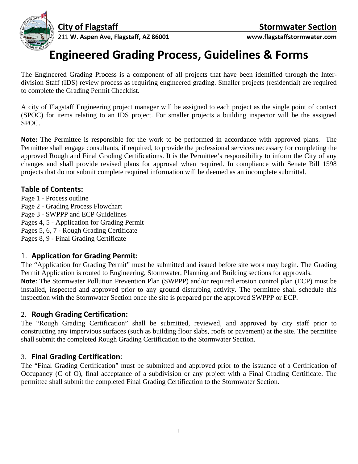

## **Engineered Grading Process, Guidelines & Forms**

The Engineered Grading Process is a component of all projects that have been identified through the Interdivision Staff (IDS) review process as requiring engineered grading. Smaller projects (residential) are required to complete the Grading Permit Checklist.

A city of Flagstaff Engineering project manager will be assigned to each project as the single point of contact (SPOC) for items relating to an IDS project. For smaller projects a building inspector will be the assigned SPOC.

**Note:** The Permittee is responsible for the work to be performed in accordance with approved plans. The Permittee shall engage consultants, if required, to provide the professional services necessary for completing the approved Rough and Final Grading Certifications. It is the Permittee's responsibility to inform the City of any changes and shall provide revised plans for approval when required. In compliance with Senate Bill 1598 projects that do not submit complete required information will be deemed as an incomplete submittal.

#### **Table of Contents:**

Page 1 - Process outline Page 2 - Grading Process Flowchart Page 3 - SWPPP and ECP Guidelines Pages 4, 5 - Application for Grading Permit Pages 5, 6, 7 - Rough Grading Certificate Pages 8, 9 - Final Grading Certificate

## 1. **Application for Grading Permit:**

The "Application for Grading Permit" must be submitted and issued before site work may begin. The Grading Permit Application is routed to Engineering, Stormwater, Planning and Building sections for approvals. **Note**: The Stormwater Pollution Prevention Plan (SWPPP) and/or required erosion control plan (ECP) must be installed, inspected and approved prior to any ground disturbing activity. The permittee shall schedule this inspection with the Stormwater Section once the site is prepared per the approved SWPPP or ECP.

## 2. **Rough Grading Certification:**

The "Rough Grading Certification" shall be submitted, reviewed, and approved by city staff prior to constructing any impervious surfaces (such as building floor slabs, roofs or pavement) at the site. The permittee shall submit the completed Rough Grading Certification to the Stormwater Section.

#### 3. **Final Grading Certification**:

The "Final Grading Certification" must be submitted and approved prior to the issuance of a Certification of Occupancy (C of O), final acceptance of a subdivision or any project with a Final Grading Certificate. The permittee shall submit the completed Final Grading Certification to the Stormwater Section.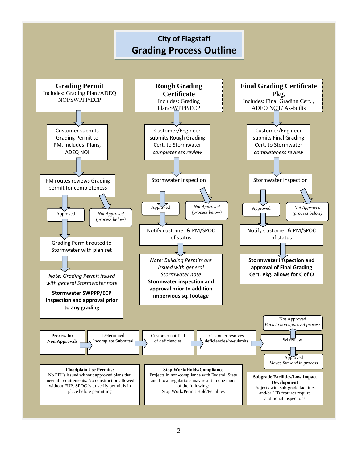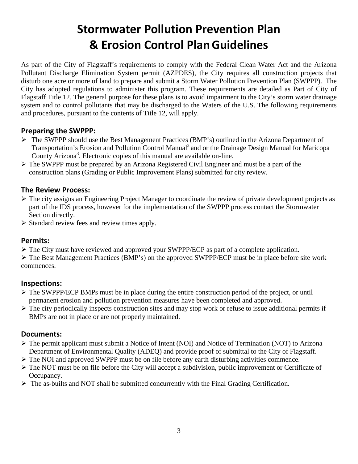# **Stormwater Pollution Prevention Plan & Erosion Control PlanGuidelines**

As part of the City of Flagstaff's requirements to comply with the Federal Clean Water Act and the Arizona Pollutant Discharge Elimination System permit (AZPDES), the City requires all construction projects that disturb one acre or more of land to prepare and submit a Storm Water Pollution Prevention Plan (SWPPP). The City has adopted regulations to administer this program. These requirements are detailed as Part of City of Flagstaff Title 12. The general purpose for these plans is to avoid impairment to the City's storm water drainage system and to control pollutants that may be discharged to the Waters of the U.S. The following requirements and procedures, pursuant to the contents of Title 12, will apply.

#### **Preparing the SWPPP:**

- The SWPPP should use the Best Management Practices (BMP's) outlined in the Arizona Department of Transportation's Erosion and Pollution Control Manual<sup>2</sup> and or the Drainage Design Manual for Maricopa County Arizona<sup>3</sup>. Electronic copies of this manual are available on-line.
- The SWPPP must be prepared by an Arizona Registered Civil Engineer and must be a part of the construction plans (Grading or Public Improvement Plans) submitted for city review.

#### **The Review Process:**

- $\triangleright$  The city assigns an Engineering Project Manager to coordinate the review of private development projects as part of the IDS process, however for the implementation of the SWPPP process contact the Stormwater Section directly.
- $\triangleright$  Standard review fees and review times apply.

#### **Permits:**

 $\triangleright$  The City must have reviewed and approved your SWPPP/ECP as part of a complete application.

 The Best Management Practices (BMP's) on the approved SWPPP/ECP must be in place before site work commences.

## **Inspections:**

- $\triangleright$  The SWPPP/ECP BMPs must be in place during the entire construction period of the project, or until permanent erosion and pollution prevention measures have been completed and approved.
- $\triangleright$  The city periodically inspects construction sites and may stop work or refuse to issue additional permits if BMPs are not in place or are not properly maintained.

## **Documents:**

- The permit applicant must submit a Notice of Intent (NOI) and Notice of Termination (NOT) to Arizona Department of Environmental Quality (ADEQ) and provide proof of submittal to the City of Flagstaff.
- The NOI and approved SWPPP must be on file before any earth disturbing activities commence.
- The NOT must be on file before the City will accept a subdivision, public improvement or Certificate of Occupancy.
- $\triangleright$  The as-builts and NOT shall be submitted concurrently with the Final Grading Certification.